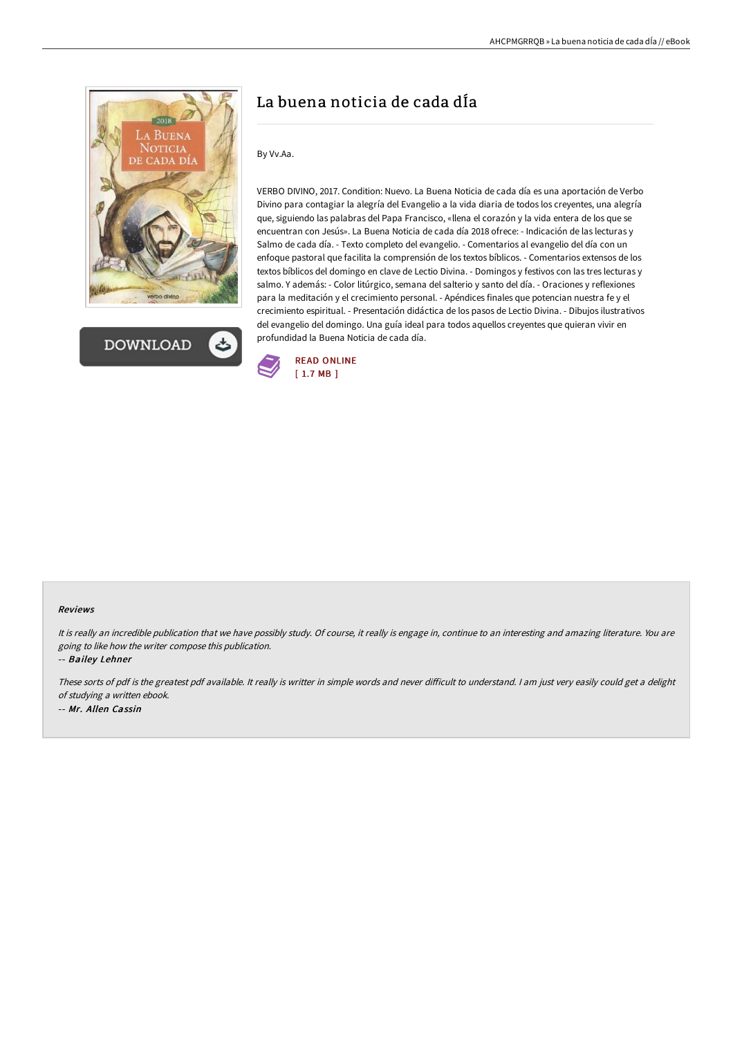



# La buena noticia de cada dÍa

## By Vv.Aa.

VERBO DIVINO, 2017. Condition: Nuevo. La Buena Noticia de cada día es una aportación de Verbo Divino para contagiar la alegría del Evangelio a la vida diaria de todos los creyentes, una alegría que, siguiendo las palabras del Papa Francisco, «llena el corazón y la vida entera de los que se encuentran con Jesús». La Buena Noticia de cada día 2018 ofrece: - Indicación de las lecturas y Salmo de cada día. - Texto completo del evangelio. - Comentarios al evangelio del día con un enfoque pastoral que facilita la comprensión de los textos bíblicos. - Comentarios extensos de los textos bíblicos del domingo en clave de Lectio Divina. - Domingos y festivos con las tres lecturas y salmo. Y además: - Color litúrgico, semana del salterio y santo del día. - Oraciones y reflexiones para la meditación y el crecimiento personal. - Apéndices finales que potencian nuestra fe y el crecimiento espiritual. - Presentación didáctica de los pasos de Lectio Divina. - Dibujos ilustrativos del evangelio del domingo. Una guía ideal para todos aquellos creyentes que quieran vivir en profundidad la Buena Noticia de cada día.



#### Reviews

It is really an incredible publication that we have possibly study. Of course, it really is engage in, continue to an interesting and amazing literature. You are going to like how the writer compose this publication.

-- Bailey Lehner

These sorts of pdf is the greatest pdf available. It really is writter in simple words and never diFicult to understand. <sup>I</sup> am just very easily could get <sup>a</sup> delight of studying <sup>a</sup> written ebook. -- Mr. Allen Cassin